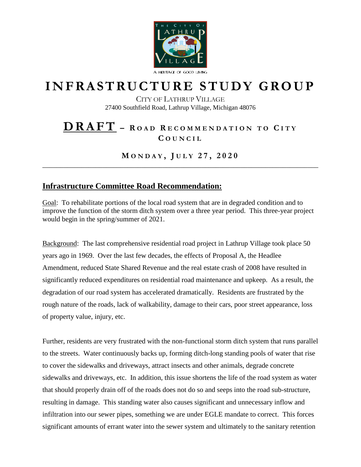

## **I N F R A S T R U C T U R E S T U D Y G R O U P**

CITY OF LATHRUP VILLAGE 27400 Southfield Road, Lathrup Village, Michigan 48076

## **D R A F T – <sup>R</sup> O A D <sup>R</sup> E C O M M E N D A T I O N T O <sup>C</sup> I T Y C O U N C I L**

**M O N D A Y , J U L Y 2 7 , 2 0 2 0** \_\_\_\_\_\_\_\_\_\_\_\_\_\_\_\_\_\_\_\_\_\_\_\_\_\_\_\_\_\_\_\_\_\_\_\_\_\_\_\_\_\_\_\_\_\_\_\_\_\_\_\_\_\_\_\_\_\_\_\_\_\_\_\_\_\_\_\_\_\_\_\_\_\_\_\_\_\_

## **Infrastructure Committee Road Recommendation:**

Goal: To rehabilitate portions of the local road system that are in degraded condition and to improve the function of the storm ditch system over a three year period. This three-year project would begin in the spring/summer of 2021.

Background: The last comprehensive residential road project in Lathrup Village took place 50 years ago in 1969. Over the last few decades, the effects of Proposal A, the Headlee Amendment, reduced State Shared Revenue and the real estate crash of 2008 have resulted in significantly reduced expenditures on residential road maintenance and upkeep. As a result, the degradation of our road system has accelerated dramatically. Residents are frustrated by the rough nature of the roads, lack of walkability, damage to their cars, poor street appearance, loss of property value, injury, etc.

Further, residents are very frustrated with the non-functional storm ditch system that runs parallel to the streets. Water continuously backs up, forming ditch-long standing pools of water that rise to cover the sidewalks and driveways, attract insects and other animals, degrade concrete sidewalks and driveways, etc. In addition, this issue shortens the life of the road system as water that should properly drain off of the roads does not do so and seeps into the road sub-structure, resulting in damage. This standing water also causes significant and unnecessary inflow and infiltration into our sewer pipes, something we are under EGLE mandate to correct. This forces significant amounts of errant water into the sewer system and ultimately to the sanitary retention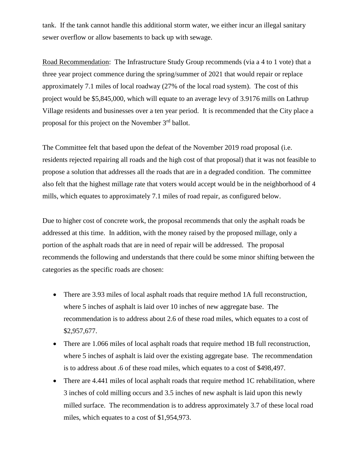tank. If the tank cannot handle this additional storm water, we either incur an illegal sanitary sewer overflow or allow basements to back up with sewage.

Road Recommendation: The Infrastructure Study Group recommends (via a 4 to 1 vote) that a three year project commence during the spring/summer of 2021 that would repair or replace approximately 7.1 miles of local roadway (27% of the local road system). The cost of this project would be \$5,845,000, which will equate to an average levy of 3.9176 mills on Lathrup Village residents and businesses over a ten year period. It is recommended that the City place a proposal for this project on the November 3rd ballot.

The Committee felt that based upon the defeat of the November 2019 road proposal (i.e. residents rejected repairing all roads and the high cost of that proposal) that it was not feasible to propose a solution that addresses all the roads that are in a degraded condition. The committee also felt that the highest millage rate that voters would accept would be in the neighborhood of 4 mills, which equates to approximately 7.1 miles of road repair, as configured below.

Due to higher cost of concrete work, the proposal recommends that only the asphalt roads be addressed at this time. In addition, with the money raised by the proposed millage, only a portion of the asphalt roads that are in need of repair will be addressed. The proposal recommends the following and understands that there could be some minor shifting between the categories as the specific roads are chosen:

- There are 3.93 miles of local asphalt roads that require method 1A full reconstruction, where 5 inches of asphalt is laid over 10 inches of new aggregate base. The recommendation is to address about 2.6 of these road miles, which equates to a cost of \$2,957,677.
- There are 1.066 miles of local asphalt roads that require method 1B full reconstruction, where 5 inches of asphalt is laid over the existing aggregate base. The recommendation is to address about .6 of these road miles, which equates to a cost of \$498,497.
- There are 4.441 miles of local asphalt roads that require method 1C rehabilitation, where 3 inches of cold milling occurs and 3.5 inches of new asphalt is laid upon this newly milled surface. The recommendation is to address approximately 3.7 of these local road miles, which equates to a cost of \$1,954,973.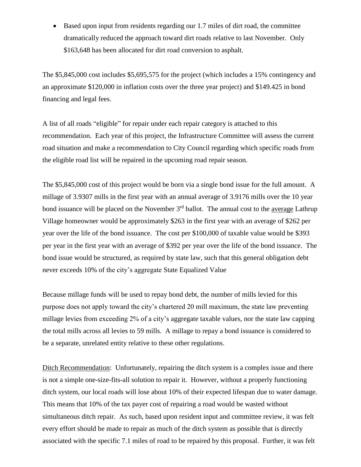Based upon input from residents regarding our 1.7 miles of dirt road, the committee dramatically reduced the approach toward dirt roads relative to last November. Only \$163,648 has been allocated for dirt road conversion to asphalt.

The \$5,845,000 cost includes \$5,695,575 for the project (which includes a 15% contingency and an approximate \$120,000 in inflation costs over the three year project) and \$149.425 in bond financing and legal fees.

A list of all roads "eligible" for repair under each repair category is attached to this recommendation. Each year of this project, the Infrastructure Committee will assess the current road situation and make a recommendation to City Council regarding which specific roads from the eligible road list will be repaired in the upcoming road repair season.

The \$5,845,000 cost of this project would be born via a single bond issue for the full amount. A millage of 3.9307 mills in the first year with an annual average of 3.9176 mills over the 10 year bond issuance will be placed on the November 3<sup>rd</sup> ballot. The annual cost to the <u>average</u> Lathrup Village homeowner would be approximately \$263 in the first year with an average of \$262 per year over the life of the bond issuance. The cost per \$100,000 of taxable value would be \$393 per year in the first year with an average of \$392 per year over the life of the bond issuance. The bond issue would be structured, as required by state law, such that this general obligation debt never exceeds 10% of the city's aggregate State Equalized Value

Because millage funds will be used to repay bond debt, the number of mills levied for this purpose does not apply toward the city's chartered 20 mill maximum, the state law preventing millage levies from exceeding 2% of a city's aggregate taxable values, nor the state law capping the total mills across all levies to 59 mills. A millage to repay a bond issuance is considered to be a separate, unrelated entity relative to these other regulations.

Ditch Recommendation: Unfortunately, repairing the ditch system is a complex issue and there is not a simple one-size-fits-all solution to repair it. However, without a properly functioning ditch system, our local roads will lose about 10% of their expected lifespan due to water damage. This means that 10% of the tax payer cost of repairing a road would be wasted without simultaneous ditch repair. As such, based upon resident input and committee review, it was felt every effort should be made to repair as much of the ditch system as possible that is directly associated with the specific 7.1 miles of road to be repaired by this proposal. Further, it was felt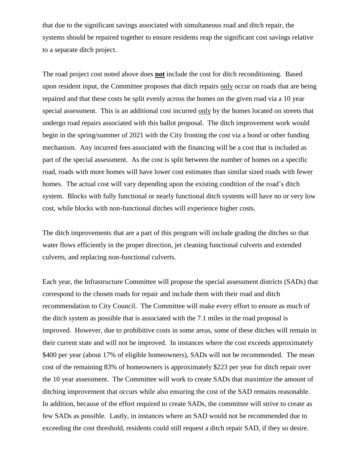that due to the significant savings associated with simultaneous road and ditch repair, the systems should be repaired together to ensure residents reap the significant cost savings relative to a separate ditch project.

The road project cost noted above does **not** include the cost for ditch reconditioning. Based upon resident input, the Committee proposes that ditch repairs only occur on roads that are being repaired and that these costs be split evenly across the homes on the given road via a 10 year special assessment. This is an additional cost incurred only by the homes located on streets that undergo road repairs associated with this ballot proposal. The ditch improvement work would begin in the spring/summer of 2021 with the City fronting the cost via a bond or other funding mechanism. Any incurred fees associated with the financing will be a cost that is included as part of the special assessment. As the cost is split between the number of homes on a specific road, roads with more homes will have lower cost estimates than similar sized roads with fewer homes. The actual cost will vary depending upon the existing condition of the road's ditch system. Blocks with fully functional or nearly functional ditch systems will have no or very low cost, while blocks with non-functional ditches will experience higher costs.

The ditch improvements that are a part of this program will include grading the ditches so that water flows efficiently in the proper direction, jet cleaning functional culverts and extended culverts, and replacing non-functional culverts.

Each year, the Infrastructure Committee will propose the special assessment districts (SADs) that correspond to the chosen roads for repair and include them with their road and ditch recommendation to City Council. The Committee will make every effort to ensure as much of the ditch system as possible that is associated with the 7.1 miles in the road proposal is improved. However, due to prohibitive costs in some areas, some of these ditches will remain in their current state and will not be improved. In instances where the cost exceeds approximately \$400 per year (about 17% of eligible homeowners), SADs will not be recommended. The mean cost of the remaining 83% of homeowners is approximately \$223 per year for ditch repair over the 10 year assessment. The Committee will work to create SADs that maximize the amount of ditching improvement that occurs while also ensuring the cost of the SAD remains reasonable. In addition, because of the effort required to create SADs, the committee will strive to create as few SADs as possible. Lastly, in instances where an SAD would not be recommended due to exceeding the cost threshold, residents could still request a ditch repair SAD, if they so desire.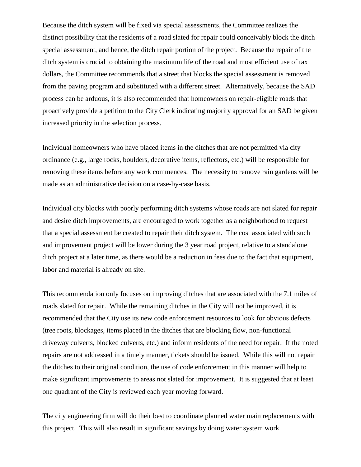Because the ditch system will be fixed via special assessments, the Committee realizes the distinct possibility that the residents of a road slated for repair could conceivably block the ditch special assessment, and hence, the ditch repair portion of the project. Because the repair of the ditch system is crucial to obtaining the maximum life of the road and most efficient use of tax dollars, the Committee recommends that a street that blocks the special assessment is removed from the paving program and substituted with a different street. Alternatively, because the SAD process can be arduous, it is also recommended that homeowners on repair-eligible roads that proactively provide a petition to the City Clerk indicating majority approval for an SAD be given increased priority in the selection process.

Individual homeowners who have placed items in the ditches that are not permitted via city ordinance (e.g., large rocks, boulders, decorative items, reflectors, etc.) will be responsible for removing these items before any work commences. The necessity to remove rain gardens will be made as an administrative decision on a case-by-case basis.

Individual city blocks with poorly performing ditch systems whose roads are not slated for repair and desire ditch improvements, are encouraged to work together as a neighborhood to request that a special assessment be created to repair their ditch system. The cost associated with such and improvement project will be lower during the 3 year road project, relative to a standalone ditch project at a later time, as there would be a reduction in fees due to the fact that equipment, labor and material is already on site.

This recommendation only focuses on improving ditches that are associated with the 7.1 miles of roads slated for repair. While the remaining ditches in the City will not be improved, it is recommended that the City use its new code enforcement resources to look for obvious defects (tree roots, blockages, items placed in the ditches that are blocking flow, non-functional driveway culverts, blocked culverts, etc.) and inform residents of the need for repair. If the noted repairs are not addressed in a timely manner, tickets should be issued. While this will not repair the ditches to their original condition, the use of code enforcement in this manner will help to make significant improvements to areas not slated for improvement. It is suggested that at least one quadrant of the City is reviewed each year moving forward.

The city engineering firm will do their best to coordinate planned water main replacements with this project. This will also result in significant savings by doing water system work